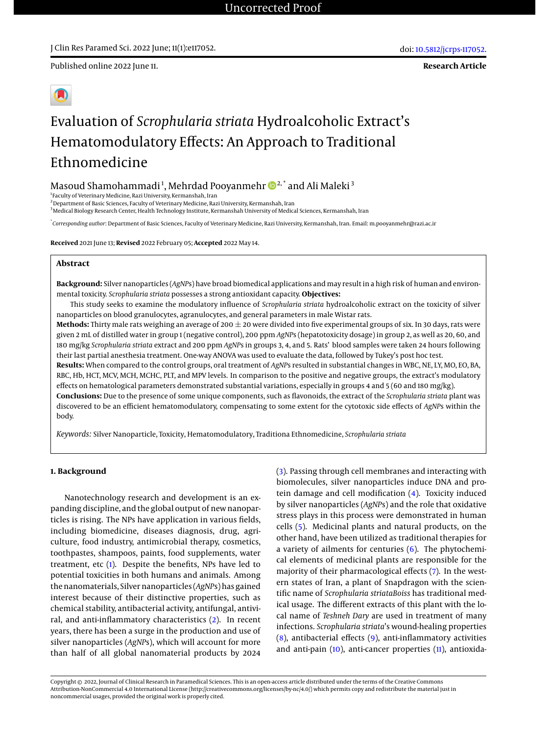Published online 2022 June 11.

**Research Article**

# Evaluation of *Scrophularia striata* Hydroalcoholic Extract's Hematomodulatory Effects: An Approach to Traditional Ethnomedicine

Masoud Shamohammadi<sup>1</sup>, Mehrdad Pooyanmehr  $\pmb{\mathbb{D}}^{2,^*}$  and Ali Maleki $^3$ 

1 Faculty of Veterinary Medicine, Razi University, Kermanshah, Iran

<sup>2</sup> Department of Basic Sciences, Faculty of Veterinary Medicine, Razi University, Kermanshah, Iran

<sup>3</sup>Medical Biology Research Center, Health Technology Institute, Kermanshah University of Medical Sciences, Kermanshah, Iran

\* *Corresponding author*: Department of Basic Sciences, Faculty of Veterinary Medicine, Razi University, Kermanshah, Iran. Email: m.pooyanmehr@razi.ac.ir

**Received** 2021 June 13; **Revised** 2022 February 05; **Accepted** 2022 May 14.

# **Abstract**

**Background:** Silver nanoparticles (*AgNP*s) have broad biomedical applications and may result in a high risk of human and environmental toxicity. *Scrophularia striata* possesses a strong antioxidant capacity. **Objectives:**

This study seeks to examine the modulatory influence of *Scrophularia striata* hydroalcoholic extract on the toxicity of silver nanoparticles on blood granulocytes, agranulocytes, and general parameters in male Wistar rats.

Methods: Thirty male rats weighing an average of 200  $\pm$  20 were divided into five experimental groups of six. In 30 days, rats were given 2 mL of distilled water in group 1 (negative control), 200 ppm *AgNP*s (hepatotoxicity dosage) in group 2, as well as 20, 60, and 180 mg/kg *Scrophularia striata* extract and 200 ppm *AgNP*s in groups 3, 4, and 5. Rats' blood samples were taken 24 hours following their last partial anesthesia treatment. One-way ANOVA was used to evaluate the data, followed by Tukey's post hoc test.

**Results:** When compared to the control groups, oral treatment of *AgNP*s resulted in substantial changes in WBC, NE, LY, MO, EO, BA, RBC, Hb, HCT, MCV, MCH, MCHC, PLT, and MPV levels. In comparison to the positive and negative groups, the extract's modulatory effects on hematological parameters demonstrated substantial variations, especially in groups 4 and 5 (60 and 180 mg/kg).

**Conclusions:** Due to the presence of some unique components, such as flavonoids, the extract of the *Scrophularia striata* plant was discovered to be an efficient hematomodulatory, compensating to some extent for the cytotoxic side effects of *AgNP*s within the body.

*Keywords:* Silver Nanoparticle, Toxicity, Hematomodulatory, Traditiona Ethnomedicine, *Scrophularia striata*

## **1. Background**

Nanotechnology research and development is an expanding discipline, and the global output of new nanoparticles is rising. The NPs have application in various fields, including biomedicine, diseases diagnosis, drug, agriculture, food industry, antimicrobial therapy, cosmetics, toothpastes, shampoos, paints, food supplements, water treatment, etc [\(1\)](#page-6-0). Despite the benefits, NPs have led to potential toxicities in both humans and animals. Among the nanomaterials, Silver nanoparticles (*AgNP*s) has gained interest because of their distinctive properties, such as chemical stability, antibacterial activity, antifungal, antiviral, and anti-inflammatory characteristics [\(2\)](#page-6-1). In recent years, there has been a surge in the production and use of silver nanoparticles (*AgNP*s), which will account for more than half of all global nanomaterial products by 2024

[\(3\)](#page-6-2). Passing through cell membranes and interacting with biomolecules, silver nanoparticles induce DNA and protein damage and cell modification [\(4\)](#page-6-3). Toxicity induced by silver nanoparticles (*AgNP*s) and the role that oxidative stress plays in this process were demonstrated in human cells [\(5\)](#page-6-4). Medicinal plants and natural products, on the other hand, have been utilized as traditional therapies for a variety of ailments for centuries [\(6\)](#page-6-5). The phytochemical elements of medicinal plants are responsible for the majority of their pharmacological effects [\(7\)](#page-6-6). In the western states of Iran, a plant of Snapdragon with the scientific name of *Scrophularia striataBoiss* has traditional medical usage. The different extracts of this plant with the local name of *Teshneh Dary* are used in treatment of many infections. *Scrophularia striata*'s wound-healing properties [\(8\)](#page-6-7), antibacterial effects [\(9\)](#page-6-8), anti-inflammatory activities and anti-pain [\(10\)](#page-6-9), anti-cancer properties [\(11\)](#page-6-10), antioxida-

Copyright © 2022, Journal of Clinical Research in Paramedical Sciences. This is an open-access article distributed under the terms of the Creative Commons Attribution-NonCommercial 4.0 International License (http://creativecommons.org/licenses/by-nc/4.0/) which permits copy and redistribute the material just in noncommercial usages, provided the original work is properly cited.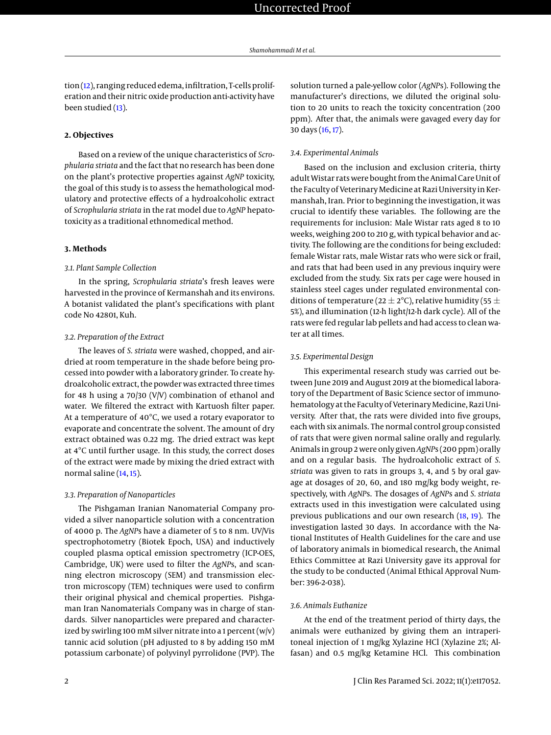tion [\(12\)](#page-6-11), ranging reduced edema, infiltration, T-cells proliferation and their nitric oxide production anti-activity have been studied [\(13\)](#page-6-12).

#### **2. Objectives**

Based on a review of the unique characteristics of *Scrophularia striata* and the fact that no research has been done on the plant's protective properties against *AgNP* toxicity, the goal of this study is to assess the hemathological modulatory and protective effects of a hydroalcoholic extract of *Scrophularia striata* in the rat model due to *AgNP* hepatotoxicity as a traditional ethnomedical method.

## **3. Methods**

#### *3.1. Plant Sample Collection*

In the spring, *Scrophularia striata*'s fresh leaves were harvested in the province of Kermanshah and its environs. A botanist validated the plant's specifications with plant code No 42801, Kuh.

#### *3.2. Preparation of the Extract*

The leaves of *S. striata* were washed, chopped, and airdried at room temperature in the shade before being processed into powder with a laboratory grinder. To create hydroalcoholic extract, the powder was extracted three times for 48 h using a 70/30 (V/V) combination of ethanol and water. We filtered the extract with Kartuosh filter paper. At a temperature of 40°C, we used a rotary evaporator to evaporate and concentrate the solvent. The amount of dry extract obtained was 0.22 mg. The dried extract was kept at 4°C until further usage. In this study, the correct doses of the extract were made by mixing the dried extract with normal saline [\(14,](#page-6-13) [15\)](#page-7-0).

#### *3.3. Preparation of Nanoparticles*

The Pishgaman Iranian Nanomaterial Company provided a silver nanoparticle solution with a concentration of 4000 p. The *AgNP*s have a diameter of 5 to 8 nm. UV/Vis spectrophotometry (Biotek Epoch, USA) and inductively coupled plasma optical emission spectrometry (ICP-OES, Cambridge, UK) were used to filter the *AgNP*s, and scanning electron microscopy (SEM) and transmission electron microscopy (TEM) techniques were used to confirm their original physical and chemical properties. Pishgaman Iran Nanomaterials Company was in charge of standards. Silver nanoparticles were prepared and characterized by swirling 100 mM silver nitrate into a 1 percent  $(w|v)$ tannic acid solution (pH adjusted to 8 by adding 150 mM potassium carbonate) of polyvinyl pyrrolidone (PVP). The

solution turned a pale-yellow color (*AgNP*s). Following the manufacturer's directions, we diluted the original solution to 20 units to reach the toxicity concentration (200 ppm). After that, the animals were gavaged every day for 30 days [\(16,](#page-7-1) [17\)](#page-7-2).

#### *3.4. Experimental Animals*

Based on the inclusion and exclusion criteria, thirty adult Wistar rats were bought from the Animal Care Unit of the Faculty of Veterinary Medicine at Razi University in Kermanshah, Iran. Prior to beginning the investigation, it was crucial to identify these variables. The following are the requirements for inclusion: Male Wistar rats aged 8 to 10 weeks, weighing 200 to 210 g, with typical behavior and activity. The following are the conditions for being excluded: female Wistar rats, male Wistar rats who were sick or frail, and rats that had been used in any previous inquiry were excluded from the study. Six rats per cage were housed in stainless steel cages under regulated environmental conditions of temperature (22  $\pm$  2°C), relative humidity (55  $\pm$ 5%), and illumination (12-h light/12-h dark cycle). All of the rats were fed regular lab pellets and had access to clean water at all times.

#### *3.5. Experimental Design*

This experimental research study was carried out between June 2019 and August 2019 at the biomedical laboratory of the Department of Basic Science sector of immunohematology at the Faculty of Veterinary Medicine, Razi University. After that, the rats were divided into five groups, each with six animals. The normal control group consisted of rats that were given normal saline orally and regularly. Animals in group 2 were only given*AgNP*s (200 ppm) orally and on a regular basis. The hydroalcoholic extract of *S. striata* was given to rats in groups 3, 4, and 5 by oral gavage at dosages of 20, 60, and 180 mg/kg body weight, respectively, with *AgNP*s. The dosages of *AgNP*s and *S. striata* extracts used in this investigation were calculated using previous publications and our own research [\(18,](#page-7-3) [19\)](#page-7-4). The investigation lasted 30 days. In accordance with the National Institutes of Health Guidelines for the care and use of laboratory animals in biomedical research, the Animal Ethics Committee at Razi University gave its approval for the study to be conducted (Animal Ethical Approval Number: 396-2-038).

#### *3.6. Animals Euthanize*

At the end of the treatment period of thirty days, the animals were euthanized by giving them an intraperitoneal injection of 1 mg/kg Xylazine HCl (Xylazine 2%; Alfasan) and 0.5 mg/kg Ketamine HCl. This combination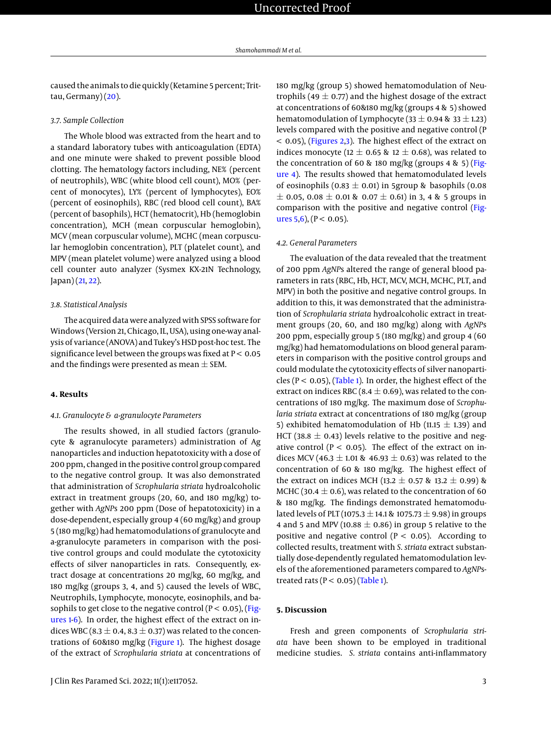caused the animals to die quickly (Ketamine 5 percent; Trittau, Germany) $(20)$ .

# *3.7. Sample Collection*

The Whole blood was extracted from the heart and to a standard laboratory tubes with anticoagulation (EDTA) and one minute were shaked to prevent possible blood clotting. The hematology factors including, NE% (percent of neutrophils), WBC (white blood cell count), MO% (percent of monocytes), LY% (percent of lymphocytes), EO% (percent of eosinophils), RBC (red blood cell count), BA% (percent of basophils), HCT (hematocrit), Hb (hemoglobin concentration), MCH (mean corpuscular hemoglobin), MCV (mean corpuscular volume), MCHC (mean corpuscular hemoglobin concentration), PLT (platelet count), and MPV (mean platelet volume) were analyzed using a blood cell counter auto analyzer (Sysmex KX-21N Technology, Japan) [\(21,](#page-7-6) [22\)](#page-7-7).

#### *3.8. Statistical Analysis*

The acquired data were analyzed with SPSS software for Windows (Version 21, Chicago, IL, USA), using one-way analysis of variance (ANOVA) and Tukey's HSD post-hoc test. The significance level between the groups was fixed at  $P < 0.05$ and the findings were presented as mean  $\pm$  SEM.

#### **4. Results**

#### *4.1. Granulocyte & a-granulocyte Parameters*

The results showed, in all studied factors (granulocyte & agranulocyte parameters) administration of Ag nanoparticles and induction hepatotoxicity with a dose of 200 ppm, changed in the positive control group compared to the negative control group. It was also demonstrated that administration of *Scrophularia striata* hydroalcoholic extract in treatment groups (20, 60, and 180 mg/kg) together with *AgNP*s 200 ppm (Dose of hepatotoxicity) in a dose-dependent, especially group 4 (60 mg/kg) and group 5 (180 mg/kg) had hematomodulations of granulocyte and a-granulocyte parameters in comparison with the positive control groups and could modulate the cytotoxicity effects of silver nanoparticles in rats. Consequently, extract dosage at concentrations 20 mg/kg, 60 mg/kg, and 180 mg/kg (groups 3, 4, and 5) caused the levels of WBC, Neutrophils, Lymphocyte, monocyte, eosinophils, and basophils to get close to the negative control ( $P < 0.05$ ), [\(Fig](#page-3-0)[ures 1-](#page-3-0)[6\)](#page-4-0). In order, the highest effect of the extract on indices WBC (8.3  $\pm$  0.4, 8.3  $\pm$  0.37) was related to the concentrations of 60&180 mg/kg [\(Figure 1\)](#page-3-0). The highest dosage of the extract of *Scrophularia striata* at concentrations of

180 mg/kg (group 5) showed hematomodulation of Neutrophils (49  $\pm$  0.77) and the highest dosage of the extract at concentrations of 60&180 mg/kg (groups 4 & 5) showed hematomodulation of Lymphocyte (33  $\pm$  0.94 & 33  $\pm$  1.23) levels compared with the positive and negative control (P < 0.05), [\(Figures 2](#page-3-1)[,3\)](#page-3-2). The highest effect of the extract on indices monocyte (12  $\pm$  0.65 & 12  $\pm$  0.68), was related to the concentration of 60 & 180 mg/kg (groups 4 & 5) [\(Fig](#page-3-3)[ure 4\)](#page-3-3). The results showed that hematomodulated levels of eosinophils (0.83  $\pm$  0.01) in 5group & basophils (0.08  $\pm$  0.05, 0.08  $\pm$  0.01 & 0.07  $\pm$  0.61) in 3, 4 & 5 groups in comparison with the positive and negative control [\(Fig](#page-4-1)[ures 5,](#page-4-1)[6\)](#page-4-0), ( $P < 0.05$ ).

## *4.2. General Parameters*

The evaluation of the data revealed that the treatment of 200 ppm *AgNP*s altered the range of general blood parameters in rats (RBC, Hb, HCT, MCV, MCH, MCHC, PLT, and MPV) in both the positive and negative control groups. In addition to this, it was demonstrated that the administration of *Scrophularia striata* hydroalcoholic extract in treatment groups (20, 60, and 180 mg/kg) along with *AgNP*s 200 ppm, especially group 5 (180 mg/kg) and group 4 (60 mg/kg) had hematomodulations on blood general parameters in comparison with the positive control groups and could modulate the cytotoxicity effects of silver nanoparticles ( $P < 0.05$ ), [\(Table 1\)](#page-4-2). In order, the highest effect of the extract on indices RBC (8.4  $\pm$  0.69), was related to the concentrations of 180 mg/kg. The maximum dose of *Scrophularia striata* extract at concentrations of 180 mg/kg (group 5) exhibited hematomodulation of Hb (11.15  $\pm$  1.39) and HCT (38.8  $\pm$  0.43) levels relative to the positive and negative control ( $P < 0.05$ ). The effect of the extract on indices MCV (46.3  $\pm$  1.01 & 46.93  $\pm$  0.63) was related to the concentration of 60 & 180 mg/kg. The highest effect of the extract on indices MCH (13.2  $\pm$  0.57 & 13.2  $\pm$  0.99) & MCHC (30.4  $\pm$  0.6), was related to the concentration of 60 & 180 mg/kg. The findings demonstrated hematomodulated levels of PLT (1075.3  $\pm$  14.1 & 1075.73  $\pm$  9.98) in groups 4 and 5 and MPV (10.88  $\pm$  0.86) in group 5 relative to the positive and negative control ( $P < 0.05$ ). According to collected results, treatment with *S. striata* extract substantially dose-dependently regulated hematomodulation levels of the aforementioned parameters compared to *AgNP*streated rats ( $P < 0.05$ ) [\(Table 1\)](#page-4-2).

#### **5. Discussion**

Fresh and green components of *Scrophularia striata* have been shown to be employed in traditional medicine studies. *S. striata* contains anti-inflammatory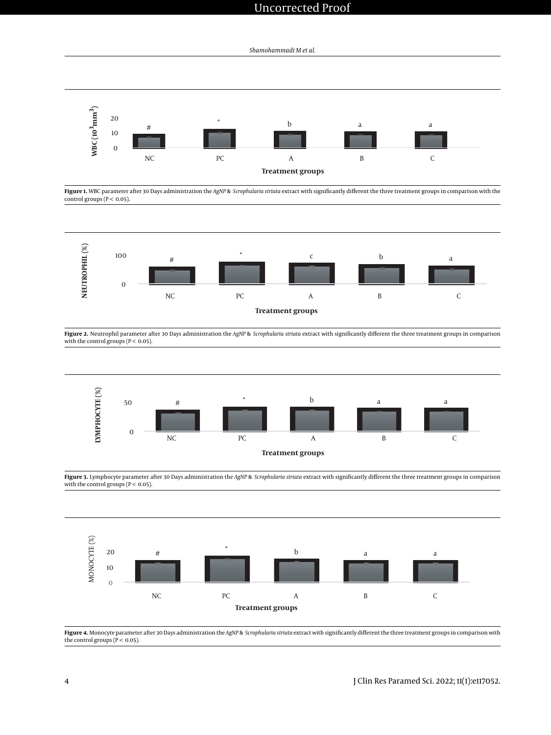# Uncorrected Proof

*Shamohammadi M et al.*

<span id="page-3-0"></span>

Figure 1. WBC parameter after 30 Days administration the *AgNP* & *Scrophularia striata* extract with significantly different the three treatment groups in comparison with the control groups ( $P < 0.05$ ).

<span id="page-3-1"></span>

**Figure 2.** Neutrophil parameter after 30 Days administration the *AgNP* & *Scrophularia striata* extract with significantly different the three treatment groups in comparison with the control groups ( $P < 0.05$ ).

<span id="page-3-2"></span>

**Figure 3.** Lymphocyte parameter after 30 Days administration the *AgNP* & *Scrophularia striata* extract with significantly different the three treatment groups in comparison with the control groups ( $P < 0.05$ ).

<span id="page-3-3"></span>

**Figure 4.** Monocyte parameter after 30 Days administration the *AgNP* & *Scrophularia striata* extract with significantly different the three treatment groups in comparison with the control groups ( $\overline{P}$  < 0.05).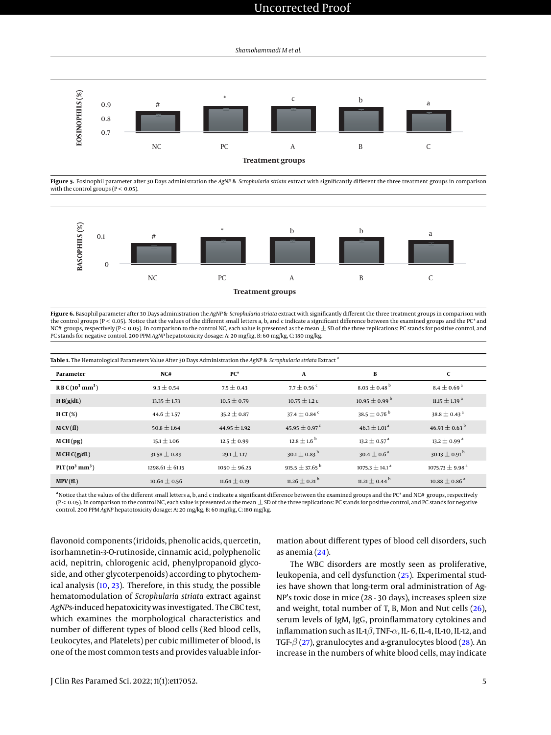# Uncorrected Proof

*Shamohammadi M et al.*

<span id="page-4-1"></span>

**Figure 5.** Eosinophil parameter after 30 Days administration the *AgNP* & *Scrophularia striata* extract with significantly different the three treatment groups in comparison with the control groups ( $P < 0.05$ ).

<span id="page-4-0"></span>

**Figure 6.** Basophil parameter after 30 Days administration the *AgNP* & *Scrophularia striata* extract with significantly different the three treatment groups in comparison with the control groups ( $P < 0.05$ ). Notice that the values of the different small letters a, b, and c indicate a significant difference between the examined groups and the PC\* and NC# groups, respectively (P < 0.05). In comparison to the control NC, each value is presented as the mean  $\pm$  SD of the three replications: PC stands for positive control, and PC stands for negative control. 200 PPM *AgNP* hepatotoxicity dosage: A: 20 mg/kg, B: 60 mg/kg, C: 180 mg/kg.

<span id="page-4-2"></span>

| Table 1. The Hematological Parameters Value After 30 Days Administration the AgNP & Scrophularia striata Extract <sup>a</sup> |                     |                  |                                |                                |                                 |
|-------------------------------------------------------------------------------------------------------------------------------|---------------------|------------------|--------------------------------|--------------------------------|---------------------------------|
| Parameter                                                                                                                     | NC#                 | $PC^*$           | $\mathbf{A}$                   | B                              | C                               |
| $R B C (10^3 mm^3)$                                                                                                           | $9.3 \pm 0.54$      | $7.5 \pm 0.43$   | $7.7 + 0.56$ <sup>c</sup>      | $8.03 + 0.48^{b}$              | $8.4 \pm 0.69$ <sup>a</sup>     |
| H B(g/dL)                                                                                                                     | $13.35 \pm 1.73$    | $10.5 \pm 0.79$  | $10.75 \pm 1.2$ C              | $10.95 \pm 0.99^{\mathrm{b}}$  | $11.15 \pm 1.39$ <sup>a</sup>   |
| $HCT(\%)$                                                                                                                     | $44.6 \pm 1.57$     | $35.2 \pm 0.87$  | 37.4 + 0.84 <sup>c</sup>       | 38.5 $\pm$ 0.76 <sup>b</sup>   | $38.8 \pm 0.43^{\text{ a}}$     |
| M CV(fI)                                                                                                                      | $50.8 \pm 1.64$     | $44.95 \pm 1.92$ | 45.95 $\pm$ 0.97 <sup>c</sup>  | $46.3 \pm 1.01^{\circ}$        | 46.93 $\pm$ 0.63 $^{\rm b}$     |
| MCH(pg)                                                                                                                       | $15.1 \pm 1.06$     | $12.5 \pm 0.99$  | $12.8 + 1.6^{b}$               | $13.2 + 0.57$ <sup>a</sup>     | $13.2 \pm 0.99$ <sup>a</sup>    |
| M CH C(g/dL)                                                                                                                  | $31.58 \pm 0.89$    | $29.1 \pm 1.17$  | 30.1 $\pm$ 0.83 <sup>b</sup>   | $30.4 + 0.6^{\text{a}}$        | 30.13 $\pm$ 0.91 <sup>b</sup>   |
| $PLT(10^3 \text{ mm}^3)$                                                                                                      | $1298.61 \pm 61.15$ | $1050 \pm 96.25$ | 915.5 $\pm$ 37.65 <sup>b</sup> | $1075.3 \pm 14.1$ <sup>a</sup> | $1075.73 \pm 9.98$ <sup>a</sup> |
| MPV(fL)                                                                                                                       | $10.64 \pm 0.56$    | $11.64 \pm 0.19$ | $11.26 \pm 0.21$ <sup>b</sup>  | $11.21 \pm 0.44^{\mathrm{b}}$  | $10.88 \pm 0.86$ <sup>a</sup>   |

<sup>a</sup> Notice that the values of the different small letters a, b, and c indicate a significant difference between the examined groups and the PC<sup>\*</sup> and NC# groups, respectively (P < 0.05). In comparison to the control NC, each value is presented as the mean  $\pm$  SD of the three replications: PC stands for positive control, and PC stands for negative control. 200 PPM *AgNP* hepatotoxicity dosage: A: 20 mg/kg, B: 60 mg/kg, C: 180 mg/kg.

flavonoid components (iridoids, phenolic acids, quercetin, isorhamnetin-3-O-rutinoside, cinnamic acid, polyphenolic acid, nepitrin, chlorogenic acid, phenylpropanoid glycoside, and other glycoterpenoids) according to phytochemical analysis [\(10,](#page-6-9) [23\)](#page-7-8). Therefore, in this study, the possible hematomodulation of *Scrophularia striata* extract against *AgNP*s-induced hepatoxicity was investigated. The CBC test, which examines the morphological characteristics and number of different types of blood cells (Red blood cells, Leukocytes, and Platelets) per cubic millimeter of blood, is one of the most common tests and provides valuable infor-

mation about different types of blood cell disorders, such as anemia [\(24\)](#page-7-9).

The WBC disorders are mostly seen as proliferative, leukopenia, and cell dysfunction [\(25\)](#page-7-10). Experimental studies have shown that long-term oral administration of Ag-NP's toxic dose in mice (28 - 30 days), increases spleen size and weight, total number of T, B, Mon and Nut cells [\(26\)](#page-7-11), serum levels of IgM, IgG, proinflammatory cytokines and inflammation such as IL-1 $\beta$ , TNF- $\alpha$ , IL-6, IL-4, IL-10, IL-12, and TGF- $\beta$  [\(27\)](#page-7-12), granulocytes and a-granulocytes blood [\(28\)](#page-7-13). An increase in the numbers of white blood cells, may indicate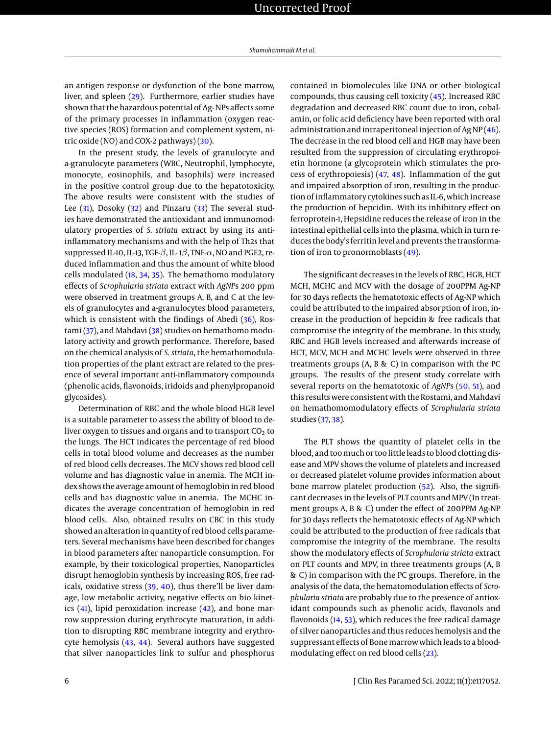an antigen response or dysfunction of the bone marrow, liver, and spleen [\(29\)](#page-7-14). Furthermore, earlier studies have shown that the hazardous potential of Ag- NPs affects some of the primary processes in inflammation (oxygen reactive species (ROS) formation and complement system, nitric oxide (NO) and COX-2 pathways)  $(30)$ .

In the present study, the levels of granulocyte and a-granulocyte parameters (WBC, Neutrophil, lymphocyte, monocyte, eosinophils, and basophils) were increased in the positive control group due to the hepatotoxicity. The above results were consistent with the studies of Lee [\(31\)](#page-7-16), Dosoky [\(32\)](#page-7-17) and Pinzaru [\(33\)](#page-7-18) The several studies have demonstrated the antioxidant and immunomodulatory properties of *S. striata* extract by using its antiinflammatory mechanisms and with the help of Th2s that suppressed IL-10, IL-13, TGF- $\beta$ , IL-1 $\beta$ , TNF- $\alpha$ , NO and PGE2, reduced inflammation and thus the amount of white blood cells modulated [\(18,](#page-7-3) [34,](#page-7-19) [35\)](#page-7-20). The hemathomo modulatory effects of *Scrophularia striata* extract with *AgNP*s 200 ppm were observed in treatment groups A, B, and C at the levels of granulocytes and a-granulocytes blood parameters, which is consistent with the findings of Abedi [\(36\)](#page-7-21), Rostami [\(37\)](#page-7-22), and Mahdavi [\(38\)](#page-7-23) studies on hemathomo modulatory activity and growth performance. Therefore, based on the chemical analysis of *S. striata*, the hemathomodulation properties of the plant extract are related to the presence of several important anti-inflammatory compounds (phenolic acids, flavonoids, iridoids and phenylpropanoid glycosides).

Determination of RBC and the whole blood HGB level is a suitable parameter to assess the ability of blood to deliver oxygen to tissues and organs and to transport  $CO<sub>2</sub>$  to the lungs. The HCT indicates the percentage of red blood cells in total blood volume and decreases as the number of red blood cells decreases. The MCV shows red blood cell volume and has diagnostic value in anemia. The MCH index shows the average amount of hemoglobin in red blood cells and has diagnostic value in anemia. The MCHC indicates the average concentration of hemoglobin in red blood cells. Also, obtained results on CBC in this study showed an alteration in quantity of red blood cells parameters. Several mechanisms have been described for changes in blood parameters after nanoparticle consumption. For example, by their toxicological properties, Nanoparticles disrupt hemoglobin synthesis by increasing ROS, free radicals, oxidative stress [\(39,](#page-7-24) [40\)](#page-7-25), thus there'll be liver damage, low metabolic activity, negative effects on bio kinetics  $(41)$ , lipid peroxidation increase  $(42)$ , and bone marrow suppression during erythrocyte maturation, in addition to disrupting RBC membrane integrity and erythrocyte hemolysis [\(43,](#page-7-28) [44\)](#page-8-0). Several authors have suggested that silver nanoparticles link to sulfur and phosphorus

contained in biomolecules like DNA or other biological compounds, thus causing cell toxicity [\(45\)](#page-8-1). Increased RBC degradation and decreased RBC count due to iron, cobalamin, or folic acid deficiency have been reported with oral administration and intraperitoneal injection of Ag NP [\(46\)](#page-8-2). The decrease in the red blood cell and HGB may have been resulted from the suppression of circulating erythropoietin hormone (a glycoprotein which stimulates the process of erythropoiesis) [\(47,](#page-8-3) [48\)](#page-8-4). Inflammation of the gut and impaired absorption of iron, resulting in the production of inflammatory cytokines such as IL-6, which increase the production of hepcidin. With its inhibitory effect on ferroprotein-1, Hepsidine reduces the release of iron in the intestinal epithelial cells into the plasma, which in turn reduces the body's ferritin level and prevents the transformation of iron to pronormoblasts [\(49\)](#page-8-5).

The significant decreases in the levels of RBC, HGB, HCT MCH, MCHC and MCV with the dosage of 200PPM Ag-NP for 30 days reflects the hematotoxic effects of Ag-NP which could be attributed to the impaired absorption of iron, increase in the production of hepcidin & free radicals that compromise the integrity of the membrane. In this study, RBC and HGB levels increased and afterwards increase of HCT, MCV, MCH and MCHC levels were observed in three treatments groups (A, B & C) in comparison with the PC groups. The results of the present study correlate with several reports on the hematotoxic of *AgNP*s [\(50,](#page-8-6) [51\)](#page-8-7), and this results were consistent with the Rostami, and Mahdavi on hemathomomodulatory effects of *Scrophularia striata* studies [\(37,](#page-7-22) [38\)](#page-7-23).

The PLT shows the quantity of platelet cells in the blood, and too much or too little leads to blood clotting disease and MPV shows the volume of platelets and increased or decreased platelet volume provides information about bone marrow platelet production [\(52\)](#page-8-8). Also, the significant decreases in the levels of PLT counts and MPV (In treatment groups A, B & C) under the effect of 200PPM Ag-NP for 30 days reflects the hematotoxic effects of Ag-NP which could be attributed to the production of free radicals that compromise the integrity of the membrane. The results show the modulatory effects of *Scrophularia striata* extract on PLT counts and MPV, in three treatments groups (A, B & C) in comparison with the PC groups. Therefore, in the analysis of the data, the hematomodulation effects of *Scrophularia striata* are probably due to the presence of antioxidant compounds such as phenolic acids, flavonols and flavonoids [\(14,](#page-6-13) [53\)](#page-8-9), which reduces the free radical damage of silver nanoparticles and thus reduces hemolysis and the suppressant effects of Bone marrow which leads to a bloodmodulating effect on red blood cells [\(23\)](#page-7-8).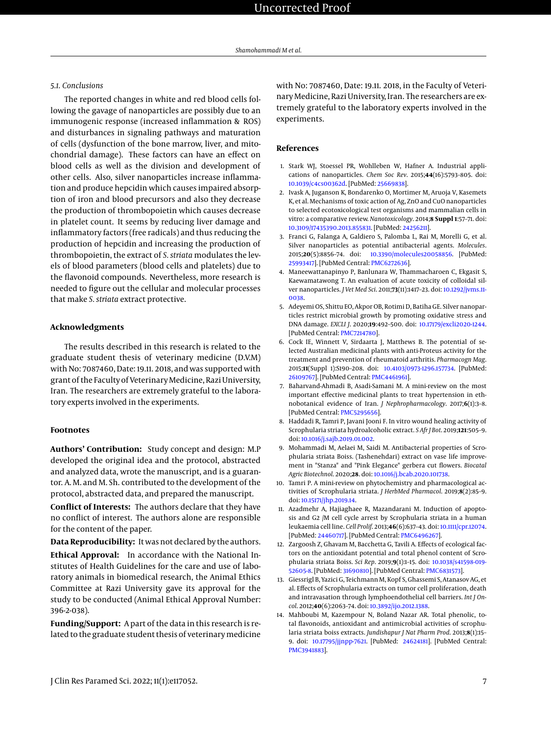## *5.1. Conclusions*

The reported changes in white and red blood cells following the gavage of nanoparticles are possibly due to an immunogenic response (increased inflammation & ROS) and disturbances in signaling pathways and maturation of cells (dysfunction of the bone marrow, liver, and mitochondrial damage). These factors can have an effect on blood cells as well as the division and development of other cells. Also, silver nanoparticles increase inflammation and produce hepcidin which causes impaired absorption of iron and blood precursors and also they decrease the production of thrombopoietin which causes decrease in platelet count. It seems by reducing liver damage and inflammatory factors (free radicals) and thus reducing the production of hepcidin and increasing the production of thrombopoietin, the extract of *S. striata* modulates the levels of blood parameters (blood cells and platelets) due to the flavonoid compounds. Nevertheless, more research is needed to figure out the cellular and molecular processes that make *S. striata* extract protective.

#### **Acknowledgments**

The results described in this research is related to the graduate student thesis of veterinary medicine (D.V.M) with No: 7087460, Date: 19.11. 2018, and was supported with grant of the Faculty of Veterinary Medicine, Razi University, Iran. The researchers are extremely grateful to the laboratory experts involved in the experiments.

# **Footnotes**

**Authors' Contribution:** Study concept and design: M.P developed the original idea and the protocol, abstracted and analyzed data, wrote the manuscript, and is a guarantor. A. M. and M. Sh. contributed to the development of the protocol, abstracted data, and prepared the manuscript.

**Conflict of Interests:** The authors declare that they have no conflict of interest. The authors alone are responsible for the content of the paper.

**Data Reproducibility:** It was not declared by the authors.

**Ethical Approval:** In accordance with the National Institutes of Health Guidelines for the care and use of laboratory animals in biomedical research, the Animal Ethics Committee at Razi University gave its approval for the study to be conducted (Animal Ethical Approval Number: 396-2-038).

**Funding/Support:** A part of the data in this research is related to the graduate student thesis of veterinary medicine with No: 7087460, Date: 19.11. 2018, in the Faculty of Veterinary Medicine, Razi University, Iran. The researchers are extremely grateful to the laboratory experts involved in the experiments.

#### **References**

- <span id="page-6-0"></span>1. Stark WJ, Stoessel PR, Wohlleben W, Hafner A. Industrial applications of nanoparticles. *Chem Soc Rev*. 2015;**44**(16):5793–805. doi: [10.1039/c4cs00362d.](http://dx.doi.org/10.1039/c4cs00362d) [PubMed: [25669838\]](http://www.ncbi.nlm.nih.gov/pubmed/25669838).
- <span id="page-6-1"></span>2. Ivask A, Juganson K, Bondarenko O, Mortimer M, Aruoja V, Kasemets K, et al. Mechanisms of toxic action of Ag, ZnO and CuO nanoparticles to selected ecotoxicological test organisms and mammalian cells in vitro: a comparative review. *Nanotoxicology*. 2014;**8 Suppl 1**:57–71. doi: [10.3109/17435390.2013.855831.](http://dx.doi.org/10.3109/17435390.2013.855831) [PubMed: [24256211\]](http://www.ncbi.nlm.nih.gov/pubmed/24256211).
- <span id="page-6-2"></span>3. Franci G, Falanga A, Galdiero S, Palomba L, Rai M, Morelli G, et al. Silver nanoparticles as potential antibacterial agents. *Molecules*. 2015;**20**(5):8856–74. doi: [10.3390/molecules20058856.](http://dx.doi.org/10.3390/molecules20058856) [PubMed: [25993417\]](http://www.ncbi.nlm.nih.gov/pubmed/25993417). [PubMed Central: [PMC6272636\]](https://www.ncbi.nlm.nih.gov/pmc/articles/PMC6272636).
- <span id="page-6-3"></span>4. Maneewattanapinyo P, Banlunara W, Thammacharoen C, Ekgasit S, Kaewamatawong T. An evaluation of acute toxicity of colloidal silver nanoparticles. *J Vet Med Sci*. 2011;**73**(11):1417–23. doi: [10.1292/jvms.11-](http://dx.doi.org/10.1292/jvms.11-0038) [0038.](http://dx.doi.org/10.1292/jvms.11-0038)
- <span id="page-6-4"></span>5. Adeyemi OS, Shittu EO, Akpor OB, Rotimi D, Batiha GE. Silver nanoparticles restrict microbial growth by promoting oxidative stress and DNA damage. *EXCLI J*. 2020;**19**:492–500. doi: [10.17179/excli2020-1244.](http://dx.doi.org/10.17179/excli2020-1244) [PubMed Central: [PMC7214780\]](https://www.ncbi.nlm.nih.gov/pmc/articles/PMC7214780).
- <span id="page-6-5"></span>6. Cock IE, Winnett V, Sirdaarta J, Matthews B. The potential of selected Australian medicinal plants with anti-Proteus activity for the treatment and prevention of rheumatoid arthritis. *Pharmacogn Mag*. 2015;**11**(Suppl 1):S190–208. doi: [10.4103/0973-1296.157734.](http://dx.doi.org/10.4103/0973-1296.157734) [PubMed: [26109767\]](http://www.ncbi.nlm.nih.gov/pubmed/26109767). [PubMed Central: [PMC4461961\]](https://www.ncbi.nlm.nih.gov/pmc/articles/PMC4461961).
- <span id="page-6-6"></span>7. Baharvand-Ahmadi B, Asadi-Samani M. A mini-review on the most important effective medicinal plants to treat hypertension in ethnobotanical evidence of Iran. *J Nephropharmacology*. 2017;**6**(1):3–8. [PubMed Central: [PMC5295656\]](https://www.ncbi.nlm.nih.gov/pmc/articles/PMC5295656).
- <span id="page-6-7"></span>8. Haddadi R, Tamri P, Javani Jooni F. In vitro wound healing activity of Scrophularia striata hydroalcoholic extract. *S Afr J Bot*. 2019;**121**:505–9. doi: [10.1016/j.sajb.2019.01.002.](http://dx.doi.org/10.1016/j.sajb.2019.01.002)
- <span id="page-6-8"></span>9. Mohammadi M, Aelaei M, Saidi M. Antibacterial properties of Scrophularia striata Boiss. (Tashenehdari) extract on vase life improvement in "Stanza" and "Pink Elegance" gerbera cut flowers. *Biocatal Agric Biotechnol*. 2020;**28**. doi: [10.1016/j.bcab.2020.101738.](http://dx.doi.org/10.1016/j.bcab.2020.101738)
- <span id="page-6-9"></span>10. Tamri P. A mini-review on phytochemistry and pharmacological activities of Scrophularia striata. *J HerbMed Pharmacol*. 2019;**8**(2):85–9. doi: [10.15171/jhp.2019.14.](http://dx.doi.org/10.15171/jhp.2019.14)
- <span id="page-6-10"></span>11. Azadmehr A, Hajiaghaee R, Mazandarani M. Induction of apoptosis and G2 /M cell cycle arrest by Scrophularia striata in a human leukaemia cell line. *Cell Prolif*. 2013;**46**(6):637–43. doi: [10.1111/cpr.12074.](http://dx.doi.org/10.1111/cpr.12074) [PubMed: [24460717\]](http://www.ncbi.nlm.nih.gov/pubmed/24460717). [PubMed Central: [PMC6496267\]](https://www.ncbi.nlm.nih.gov/pmc/articles/PMC6496267).
- <span id="page-6-11"></span>12. Zargoosh Z, Ghavam M, Bacchetta G, Tavili A. Effects of ecological factors on the antioxidant potential and total phenol content of Scrophularia striata Boiss. *Sci Rep*. 2019;**9**(1):1–15. doi: [10.1038/s41598-019-](http://dx.doi.org/10.1038/s41598-019-52605-8) [52605-8.](http://dx.doi.org/10.1038/s41598-019-52605-8) [PubMed: [31690810\]](http://www.ncbi.nlm.nih.gov/pubmed/31690810). [PubMed Central: [PMC6831573\]](https://www.ncbi.nlm.nih.gov/pmc/articles/PMC6831573).
- <span id="page-6-12"></span>13. Giessrigl B, Yazici G, Teichmann M, Kopf S, Ghassemi S, Atanasov AG, et al. Effects of Scrophularia extracts on tumor cell proliferation, death and intravasation through lymphoendothelial cell barriers. *Int J Oncol*. 2012;**40**(6):2063–74. doi: [10.3892/ijo.2012.1388.](http://dx.doi.org/10.3892/ijo.2012.1388)
- <span id="page-6-13"></span>14. Mahboubi M, Kazempour N, Boland Nazar AR. Total phenolic, total flavonoids, antioxidant and antimicrobial activities of scrophularia striata boiss extracts. *Jundishapur J Nat Pharm Prod*. 2013;**8**(1):15– 9. doi: [10.17795/jjnpp-7621.](http://dx.doi.org/10.17795/jjnpp-7621) [PubMed: [24624181\]](http://www.ncbi.nlm.nih.gov/pubmed/24624181). [PubMed Central: [PMC3941883\]](https://www.ncbi.nlm.nih.gov/pmc/articles/PMC3941883).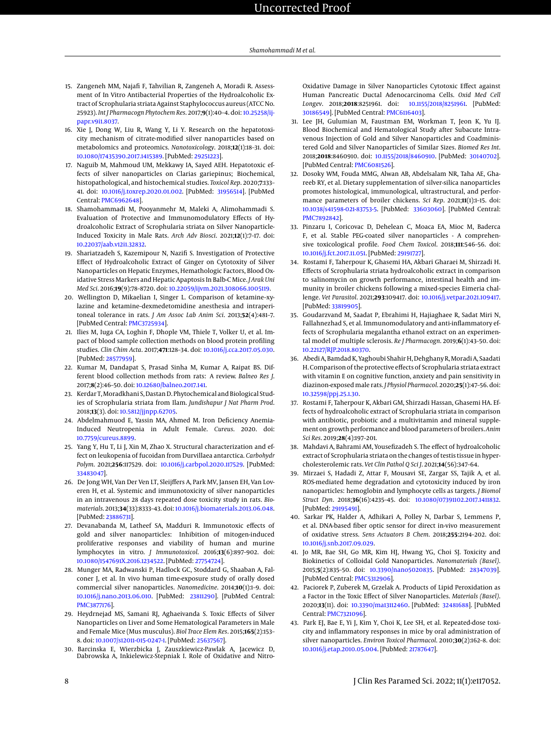- <span id="page-7-0"></span>15. Zangeneh MM, Najafi F, Tahvilian R, Zangeneh A, Moradi R. Assessment of In Vitro Antibacterial Properties of the Hydroalcoholic Extract of Scrophularia striata Against Staphylococcus aureus (ATCC No. 25923). *Int J Pharmacogn Phytochem Res*. 2017;**9**(1):40–4. doi: [10.25258/ij](http://dx.doi.org/10.25258/ijpapr.v9i1.8037)[papr.v9i1.8037.](http://dx.doi.org/10.25258/ijpapr.v9i1.8037)
- <span id="page-7-1"></span>16. Xie J, Dong W, Liu R, Wang Y, Li Y. Research on the hepatotoxicity mechanism of citrate-modified silver nanoparticles based on metabolomics and proteomics. *Nanotoxicology*. 2018;**12**(1):18–31. doi: [10.1080/17435390.2017.1415389.](http://dx.doi.org/10.1080/17435390.2017.1415389) [PubMed: [29251223\]](http://www.ncbi.nlm.nih.gov/pubmed/29251223).
- <span id="page-7-2"></span>17. Naguib M, Mahmoud UM, Mekkawy IA, Sayed AEH. Hepatotoxic effects of silver nanoparticles on Clarias gariepinus; Biochemical, histopathological, and histochemical studies. *Toxicol Rep*. 2020;**7**:133– 41. doi: [10.1016/j.toxrep.2020.01.002.](http://dx.doi.org/10.1016/j.toxrep.2020.01.002) [PubMed: [31956514\]](http://www.ncbi.nlm.nih.gov/pubmed/31956514). [PubMed Central: [PMC6962648\]](https://www.ncbi.nlm.nih.gov/pmc/articles/PMC6962648).
- <span id="page-7-3"></span>18. Shamohammadi M, Pooyanmehr M, Maleki A, Alimohammadi S. Evaluation of Protective and Immunomodulatory Effects of Hydroalcoholic Extract of Scrophularia striata on Silver Nanoparticle-Induced Toxicity in Male Rats. *Arch Adv Biosci*. 2021;**12**(1):7–17. doi: [10.22037/aab.v12i1.32832.](http://dx.doi.org/10.22037/aab.v12i1.32832)
- <span id="page-7-4"></span>19. Shariatzadeh S, Kazemipour N, Nazifi S. Investigation of Protective Effect of Hydroalcoholic Extract of Ginger on Cytotoxity of Silver Nanoparticles on Hepatic Enzymes, Hemathologic Factors, Blood Oxidative Stress Markers and Hepatic Apaptosis In Balb-C Mice. *J Arak Uni Med Sci*. 2016;**19**(9):78–8720. doi: [10.22059/ijvm.2021.308066.1005119.](http://dx.doi.org/10.22059/ijvm.2021.308066.1005119)
- <span id="page-7-5"></span>20. Wellington D, Mikaelian I, Singer L. Comparison of ketamine–xylazine and ketamine–dexmedetomidine anesthesia and intraperitoneal tolerance in rats. *J Am Assoc Lab Anim Sci*. 2013;**52**(4):481–7. [PubMed Central: [PMC3725934\]](https://www.ncbi.nlm.nih.gov/pmc/articles/PMC3725934).
- <span id="page-7-6"></span>21. Ilies M, Iuga CA, Loghin F, Dhople VM, Thiele T, Volker U, et al. Impact of blood sample collection methods on blood protein profiling studies. *Clin Chim Acta*. 2017;**471**:128–34. doi: [10.1016/j.cca.2017.05.030.](http://dx.doi.org/10.1016/j.cca.2017.05.030) [PubMed: [28577959\]](http://www.ncbi.nlm.nih.gov/pubmed/28577959).
- <span id="page-7-7"></span>22. Kumar M, Dandapat S, Prasad Sinha M, Kumar A, Raipat BS. Different blood collection methods from rats: A review. *Balneo Res J*. 2017;**8**(2):46–50. doi: [10.12680/balneo.2017.141.](http://dx.doi.org/10.12680/balneo.2017.141)
- <span id="page-7-8"></span>23. Kerdar T, Moradkhani S, Dastan D. Phytochemical and Biological Studies of Scrophularia striata from Ilam. *Jundishapur J Nat Pharm Prod*. 2018;**13**(3). doi: [10.5812/jjnpp.62705.](http://dx.doi.org/10.5812/jjnpp.62705)
- <span id="page-7-9"></span>24. Abdelmahmuod E, Yassin MA, Ahmed M. Iron Deficiency Anemia-Induced Neutropenia in Adult Female. *Cureus*. 2020. doi: [10.7759/cureus.8899.](http://dx.doi.org/10.7759/cureus.8899)
- <span id="page-7-10"></span>25. Yang Y, Hu T, Li J, Xin M, Zhao X. Structural characterization and effect on leukopenia of fucoidan from Durvillaea antarctica. *Carbohydr Polym*. 2021;**256**:117529. doi: [10.1016/j.carbpol.2020.117529.](http://dx.doi.org/10.1016/j.carbpol.2020.117529) [PubMed: [33483047\]](http://www.ncbi.nlm.nih.gov/pubmed/33483047).
- <span id="page-7-11"></span>26. De Jong WH, Van Der Ven LT, Sleijffers A, Park MV, Jansen EH, Van Loveren H, et al. Systemic and immunotoxicity of silver nanoparticles in an intravenous 28 days repeated dose toxicity study in rats. *Biomaterials*. 2013;**34**(33):8333–43. doi: [10.1016/j.biomaterials.2013.06.048.](http://dx.doi.org/10.1016/j.biomaterials.2013.06.048) [PubMed: [23886731\]](http://www.ncbi.nlm.nih.gov/pubmed/23886731).
- <span id="page-7-12"></span>27. Devanabanda M, Latheef SA, Madduri R. Immunotoxic effects of gold and silver nanoparticles: Inhibition of mitogen-induced proliferative responses and viability of human and murine lymphocytes in vitro. *J Immunotoxicol*. 2016;**13**(6):897–902. doi: [10.1080/1547691X.2016.1234522.](http://dx.doi.org/10.1080/1547691X.2016.1234522) [PubMed: [27754724\]](http://www.ncbi.nlm.nih.gov/pubmed/27754724).
- <span id="page-7-13"></span>28. Munger MA, Radwanski P, Hadlock GC, Stoddard G, Shaaban A, Falconer J, et al. In vivo human time-exposure study of orally dosed commercial silver nanoparticles. *Nanomedicine*. 2014;**10**(1):1–9. doi: [10.1016/j.nano.2013.06.010.](http://dx.doi.org/10.1016/j.nano.2013.06.010) [PubMed: [23811290\]](http://www.ncbi.nlm.nih.gov/pubmed/23811290). [PubMed Central: [PMC3877176\]](https://www.ncbi.nlm.nih.gov/pmc/articles/PMC3877176).
- <span id="page-7-14"></span>29. Heydrnejad MS, Samani RJ, Aghaeivanda S. Toxic Effects of Silver Nanoparticles on Liver and Some Hematological Parameters in Male and Female Mice (Mus musculus). *Biol Trace Elem Res*. 2015;**165**(2):153– 8. doi: [10.1007/s12011-015-0247-1.](http://dx.doi.org/10.1007/s12011-015-0247-1) [PubMed: [25637567\]](http://www.ncbi.nlm.nih.gov/pubmed/25637567).
- <span id="page-7-15"></span>30. Barcinska E, Wierzbicka J, Zauszkiewicz-Pawlak A, Jacewicz D, Dabrowska A, Inkielewicz-Stepniak I. Role of Oxidative and Nitro-

Oxidative Damage in Silver Nanoparticles Cytotoxic Effect against Human Pancreatic Ductal Adenocarcinoma Cells. *Oxid Med Cell Longev*. 2018;**2018**:8251961. doi: [10.1155/2018/8251961.](http://dx.doi.org/10.1155/2018/8251961) [PubMed: [30186549\]](http://www.ncbi.nlm.nih.gov/pubmed/30186549). [PubMed Central: [PMC6116403\]](https://www.ncbi.nlm.nih.gov/pmc/articles/PMC6116403).

- <span id="page-7-16"></span>31. Lee JH, Gulumian M, Faustman EM, Workman T, Jeon K, Yu IJ. Blood Biochemical and Hematological Study after Subacute Intravenous Injection of Gold and Silver Nanoparticles and Coadministered Gold and Silver Nanoparticles of Similar Sizes. *Biomed Res Int*. 2018;**2018**:8460910. doi: [10.1155/2018/8460910.](http://dx.doi.org/10.1155/2018/8460910) [PubMed: [30140702\]](http://www.ncbi.nlm.nih.gov/pubmed/30140702). [PubMed Central: [PMC6081526\]](https://www.ncbi.nlm.nih.gov/pmc/articles/PMC6081526).
- <span id="page-7-17"></span>32. Dosoky WM, Fouda MMG, Alwan AB, Abdelsalam NR, Taha AE, Ghareeb RY, et al. Dietary supplementation of silver-silica nanoparticles promotes histological, immunological, ultrastructural, and performance parameters of broiler chickens. *Sci Rep*. 2021;**11**(1):1–15. doi: [10.1038/s41598-021-83753-5.](http://dx.doi.org/10.1038/s41598-021-83753-5) [PubMed: [33603060\]](http://www.ncbi.nlm.nih.gov/pubmed/33603060). [PubMed Central: [PMC7892842\]](https://www.ncbi.nlm.nih.gov/pmc/articles/PMC7892842).
- <span id="page-7-18"></span>33. Pinzaru I, Coricovac D, Dehelean C, Moaca EA, Mioc M, Baderca F, et al. Stable PEG-coated silver nanoparticles - A comprehensive toxicological profile. *Food Chem Toxicol*. 2018;**111**:546–56. doi: [10.1016/j.fct.2017.11.051.](http://dx.doi.org/10.1016/j.fct.2017.11.051) [PubMed: [29191727\]](http://www.ncbi.nlm.nih.gov/pubmed/29191727).
- <span id="page-7-19"></span>34. Rostami F, Taherpour K, Ghasemi HA, Akbari Gharaei M, Shirzadi H. Effects of Scrophularia striata hydroalcoholic extract in comparison to salinomycin on growth performance, intestinal health and immunity in broiler chickens following a mixed-species Eimeria challenge. *Vet Parasitol*. 2021;**293**:109417. doi: [10.1016/j.vetpar.2021.109417.](http://dx.doi.org/10.1016/j.vetpar.2021.109417) [PubMed: [33819905\]](http://www.ncbi.nlm.nih.gov/pubmed/33819905).
- <span id="page-7-20"></span>35. Goudarzvand M, Saadat P, Ebrahimi H, Hajiaghaee R, Sadat Miri N, Fallahnezhad S, et al. Immunomodulatory and anti-inflammatory effects of Scrophularia megalantha ethanol extract on an experimental model of multiple sclerosis. *Re J Pharmacogn*. 2019;**6**(1):43–50. doi: [10.22127/RJP.2018.80370.](http://dx.doi.org/10.22127/RJP.2018.80370)
- <span id="page-7-21"></span>36. Abedi A, Bamdad K, Yaghoubi Shahir H, Dehghany R, Moradi A, Saadati H. Comparison of the protective effects of Scrophularia striata extract with vitamin E on cognitive function, anxiety and pain sensitivity in diazinon-exposed male rats. *J Physiol Pharmacol*. 2020;**25**(1):47–56. doi: [10.32598/ppj.25.1.30.](http://dx.doi.org/10.32598/ppj.25.1.30)
- <span id="page-7-22"></span>37. Rostami F, Taherpour K, Akbari GM, Shirzadi Hassan, Ghasemi HA. Effects of hydroalcoholic extract of Scrophularia striata in comparison with antibiotic, probiotic and a multivitamin and mineral supplement on growth performance and blood parameters of broilers. *Anim Sci Res*. 2019;**28**(4):197–201.
- <span id="page-7-23"></span>38. Mahdavi A, Bahrami AM, Yousefizadeh S. The effect of hydroalcoholic extract of Scrophularia striata on the changes of testis tissue in hypercholesterolemic rats. *Vet Clin Pathol Q Sci J*. 2021;**14**(56):347–64.
- <span id="page-7-24"></span>39. Mirzaei S, Hadadi Z, Attar F, Mousavi SE, Zargar SS, Tajik A, et al. ROS-mediated heme degradation and cytotoxicity induced by iron nanoparticles: hemoglobin and lymphocyte cells as targets. *J Biomol Struct Dyn*. 2018;**36**(16):4235–45. doi: [10.1080/07391102.2017.1411832.](http://dx.doi.org/10.1080/07391102.2017.1411832) [PubMed: [29195491\]](http://www.ncbi.nlm.nih.gov/pubmed/29195491).
- <span id="page-7-25"></span>40. Sarkar PK, Halder A, Adhikari A, Polley N, Darbar S, Lemmens P, et al. DNA-based fiber optic sensor for direct in-vivo measurement of oxidative stress. *Sens Actuators B Chem*. 2018;**255**:2194–202. doi: [10.1016/j.snb.2017.09.029.](http://dx.doi.org/10.1016/j.snb.2017.09.029)
- <span id="page-7-26"></span>41. Jo MR, Bae SH, Go MR, Kim HJ, Hwang YG, Choi SJ. Toxicity and Biokinetics of Colloidal Gold Nanoparticles. *Nanomaterials (Basel)*. 2015;**5**(2):835–50. doi: [10.3390/nano5020835.](http://dx.doi.org/10.3390/nano5020835) [PubMed: [28347039\]](http://www.ncbi.nlm.nih.gov/pubmed/28347039). [PubMed Central: [PMC5312906\]](https://www.ncbi.nlm.nih.gov/pmc/articles/PMC5312906).
- <span id="page-7-27"></span>42. Paciorek P, Zuberek M, Grzelak A. Products of Lipid Peroxidation as a Factor in the Toxic Effect of Silver Nanoparticles. *Materials (Basel)*. 2020;**13**(11). doi: [10.3390/ma13112460.](http://dx.doi.org/10.3390/ma13112460) [PubMed: [32481688\]](http://www.ncbi.nlm.nih.gov/pubmed/32481688). [PubMed Central: [PMC7321096\]](https://www.ncbi.nlm.nih.gov/pmc/articles/PMC7321096).
- <span id="page-7-28"></span>43. Park EJ, Bae E, Yi J, Kim Y, Choi K, Lee SH, et al. Repeated-dose toxicity and inflammatory responses in mice by oral administration of silver nanoparticles. *Environ Toxicol Pharmacol*. 2010;**30**(2):162–8. doi: [10.1016/j.etap.2010.05.004.](http://dx.doi.org/10.1016/j.etap.2010.05.004) [PubMed: [21787647\]](http://www.ncbi.nlm.nih.gov/pubmed/21787647).